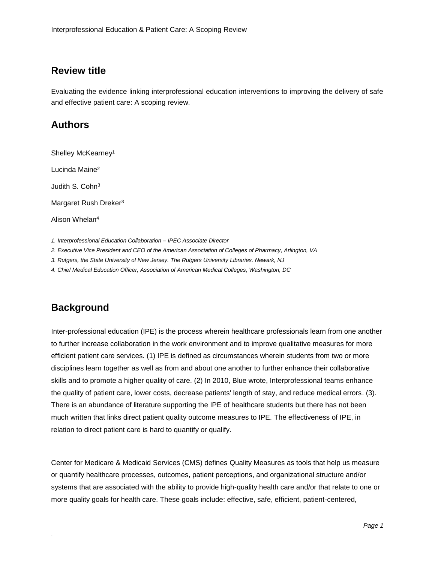### **Review title**

Evaluating the evidence linking interprofessional education interventions to improving the delivery of safe and effective patient care: A scoping review.

## **Authors**

Shelley McKearney<sup>1</sup> Lucinda Maine 2 Judith S. Cohn<sup>3</sup> Margaret Rush Dreker<sup>3</sup> Alison Whelan<sup>4</sup>

*1. Interprofessional Education Collaboration – IPEC Associate Director*

*2. Executive Vice President and CEO of the American Association of Colleges of Pharmacy, Arlington, VA*

*3. Rutgers, the State University of New Jersey. The Rutgers University Libraries. Newark, NJ*

*4. Chief Medical Education Officer, Association of American Medical Colleges, Washington, DC*

# **Background**

.

Inter-professional education (IPE) is the process wherein healthcare professionals learn from one another to further increase collaboration in the work environment and to improve qualitative measures for more efficient patient care services. (1) IPE is defined as circumstances wherein students from two or more disciplines learn together as well as from and about one another to further enhance their collaborative skills and to promote a higher quality of care. (2) In 2010, Blue wrote, Interprofessional teams enhance the quality of patient care, lower costs, decrease patients' length of stay, and reduce medical errors. (3). There is an abundance of literature supporting the IPE of healthcare students but there has not been much written that links direct patient quality outcome measures to IPE. The effectiveness of IPE, in relation to direct patient care is hard to quantify or qualify.

Center for Medicare & Medicaid Services (CMS) defines Quality Measures as tools that help us measure or quantify healthcare processes, outcomes, patient perceptions, and organizational structure and/or systems that are associated with the ability to provide high-quality health care and/or that relate to one or more quality goals for health care. These goals include: effective, safe, efficient, patient-centered,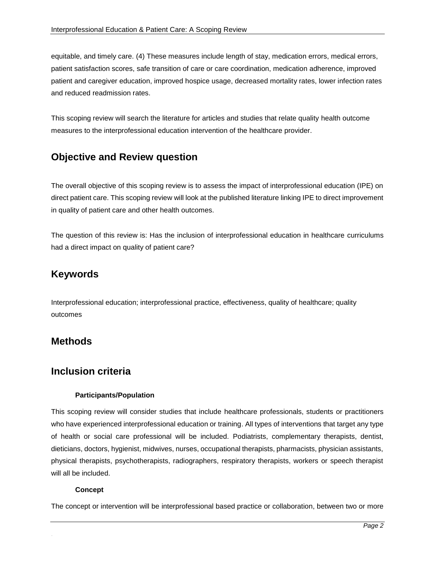equitable, and timely care. (4) These measures include length of stay, medication errors, medical errors, patient satisfaction scores, safe transition of care or care coordination, medication adherence, improved patient and caregiver education, improved hospice usage, decreased mortality rates, lower infection rates and reduced readmission rates.

This scoping review will search the literature for articles and studies that relate quality health outcome measures to the interprofessional education intervention of the healthcare provider.

## **Objective and Review question**

The overall objective of this scoping review is to assess the impact of interprofessional education (IPE) on direct patient care. This scoping review will look at the published literature linking IPE to direct improvement in quality of patient care and other health outcomes.

The question of this review is: Has the inclusion of interprofessional education in healthcare curriculums had a direct impact on quality of patient care?

### **Keywords**

Interprofessional education; interprofessional practice, effectiveness, quality of healthcare; quality outcomes

### **Methods**

### **Inclusion criteria**

#### **Participants/Population**

This scoping review will consider studies that include healthcare professionals, students or practitioners who have experienced interprofessional education or training. All types of interventions that target any type of health or social care professional will be included. Podiatrists, complementary therapists, dentist, dieticians, doctors, hygienist, midwives, nurses, occupational therapists, pharmacists, physician assistants, physical therapists, psychotherapists, radiographers, respiratory therapists, workers or speech therapist will all be included.

#### **Concept**

.

The concept or intervention will be interprofessional based practice or collaboration, between two or more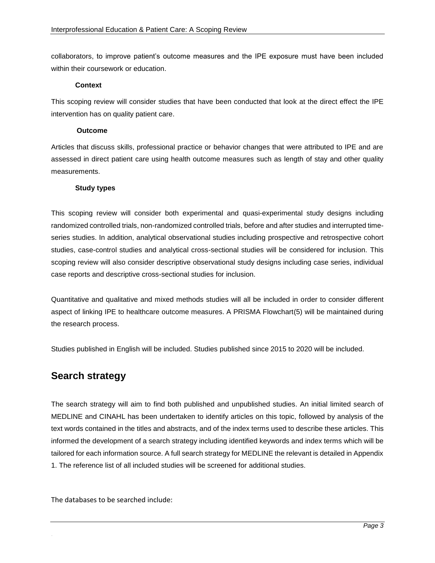collaborators, to improve patient's outcome measures and the IPE exposure must have been included within their coursework or education.

#### **Context**

This scoping review will consider studies that have been conducted that look at the direct effect the IPE intervention has on quality patient care.

#### **Outcome**

Articles that discuss skills, professional practice or behavior changes that were attributed to IPE and are assessed in direct patient care using health outcome measures such as length of stay and other quality measurements.

#### **Study types**

This scoping review will consider both experimental and quasi-experimental study designs including randomized controlled trials, non-randomized controlled trials, before and after studies and interrupted timeseries studies. In addition, analytical observational studies including prospective and retrospective cohort studies, case-control studies and analytical cross-sectional studies will be considered for inclusion. This scoping review will also consider descriptive observational study designs including case series, individual case reports and descriptive cross-sectional studies for inclusion.

Quantitative and qualitative and mixed methods studies will all be included in order to consider different aspect of linking IPE to healthcare outcome measures. A PRISMA Flowchart(5) will be maintained during the research process.

Studies published in English will be included. Studies published since 2015 to 2020 will be included.

### **Search strategy**

The search strategy will aim to find both published and unpublished studies. An initial limited search of MEDLINE and CINAHL has been undertaken to identify articles on this topic, followed by analysis of the text words contained in the titles and abstracts, and of the index terms used to describe these articles. This informed the development of a search strategy including identified keywords and index terms which will be tailored for each information source. A full search strategy for MEDLINE the relevant is detailed in Appendix 1. The reference list of all included studies will be screened for additional studies.

The databases to be searched include: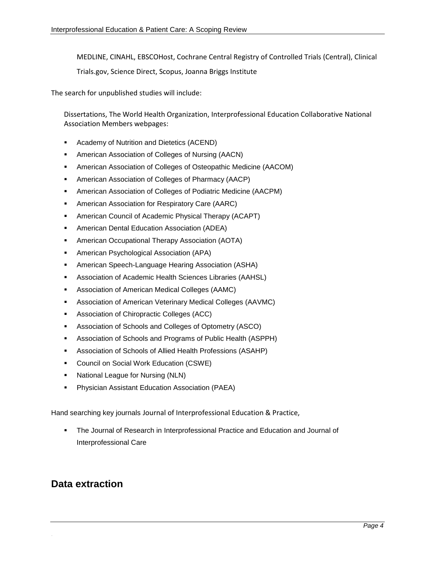MEDLINE, CINAHL, EBSCOHost, Cochrane Central Registry of Controlled Trials (Central), Clinical

Trials.gov, Science Direct, Scopus, Joanna Briggs Institute

The search for unpublished studies will include:

Dissertations, The World Health Organization, Interprofessional Education Collaborative National Association Members webpages:

- **Academy of Nutrition and Dietetics (ACEND)**
- American Association of Colleges of Nursing (AACN)
- American Association of Colleges of Osteopathic Medicine (AACOM)
- American Association of Colleges of Pharmacy (AACP)
- American Association of Colleges of Podiatric Medicine (AACPM)
- **American Association for Respiratory Care (AARC)**
- American Council of Academic Physical Therapy (ACAPT)
- American Dental Education Association (ADEA)
- American Occupational Therapy Association (AOTA)
- American Psychological Association (APA)
- American Speech-Language Hearing Association (ASHA)
- Association of Academic Health Sciences Libraries (AAHSL)
- Association of American Medical Colleges (AAMC)
- Association of American Veterinary Medical Colleges (AAVMC)
- **Association of Chiropractic Colleges (ACC)**
- Association of Schools and Colleges of Optometry (ASCO)
- Association of Schools and Programs of Public Health (ASPPH)
- Association of Schools of Allied Health Professions (ASAHP)
- **Council on Social Work Education (CSWE)**
- National League for Nursing (NLN)
- **Physician Assistant Education Association (PAEA)**

Hand searching key journals Journal of Interprofessional Education & Practice,

 The Journal of Research in Interprofessional Practice and Education and Journal of Interprofessional Care

### **Data extraction**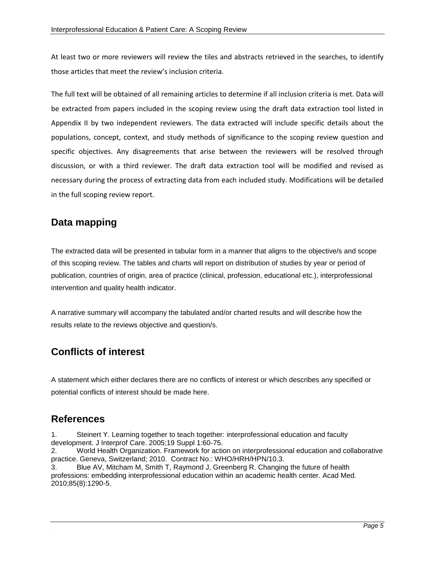At least two or more reviewers will review the tiles and abstracts retrieved in the searches, to identify those articles that meet the review's inclusion criteria.

The full text will be obtained of all remaining articles to determine if all inclusion criteria is met. Data will be extracted from papers included in the scoping review using the draft data extraction tool listed in Appendix II by two independent reviewers. The data extracted will include specific details about the populations, concept, context, and study methods of significance to the scoping review question and specific objectives. Any disagreements that arise between the reviewers will be resolved through discussion, or with a third reviewer. The draft data extraction tool will be modified and revised as necessary during the process of extracting data from each included study. Modifications will be detailed in the full scoping review report.

## **Data mapping**

The extracted data will be presented in tabular form in a manner that aligns to the objective/s and scope of this scoping review. The tables and charts will report on distribution of studies by year or period of publication, countries of origin, area of practice (clinical, profession, educational etc.), interprofessional intervention and quality health indicator.

A narrative summary will accompany the tabulated and/or charted results and will describe how the results relate to the reviews objective and question/s.

## **Conflicts of interest**

A statement which either declares there are no conflicts of interest or which describes any specified or potential conflicts of interest should be made here.

### **References**

.

1. Steinert Y. Learning together to teach together: interprofessional education and faculty development. J Interprof Care. 2005;19 Suppl 1:60-75.

2. World Health Organization. Framework for action on interprofessional education and collaborative practice. Geneva, Switzerland; 2010. Contract No.: WHO/HRH/HPN/10.3.

3. Blue AV, Mitcham M, Smith T, Raymond J, Greenberg R. Changing the future of health professions: embedding interprofessional education within an academic health center. Acad Med. 2010;85(8):1290-5.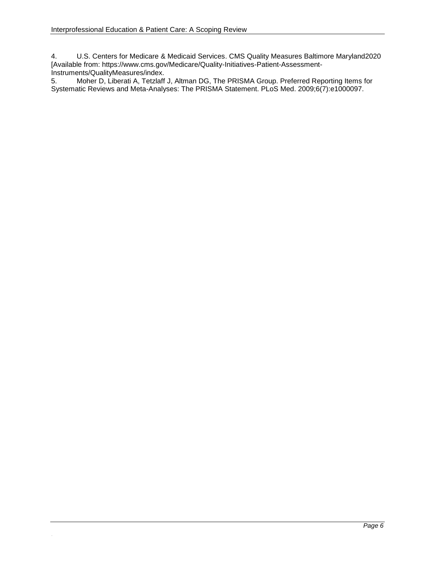.

4. U.S. Centers for Medicare & Medicaid Services. CMS Quality Measures Baltimore Maryland2020 [Available from: https://www.cms.gov/Medicare/Quality-Initiatives-Patient-Assessment-Instruments/QualityMeasures/index.

5. Moher D, Liberati A, Tetzlaff J, Altman DG, The PRISMA Group. Preferred Reporting Items for Systematic Reviews and Meta-Analyses: The PRISMA Statement. PLoS Med. 2009;6(7):e1000097.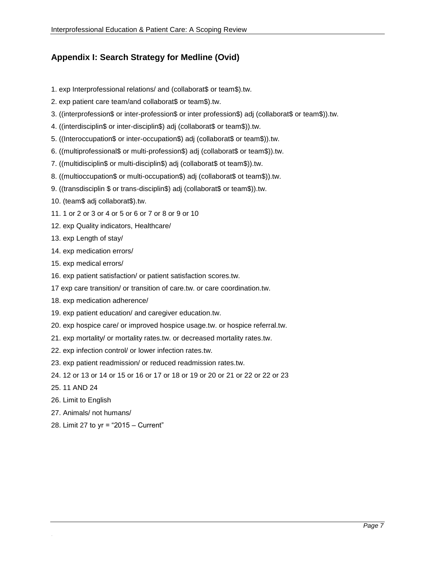### **Appendix I: Search Strategy for Medline (Ovid)**

- 1. exp Interprofessional relations/ and (collaborat\$ or team\$).tw.
- 2. exp patient care team/and collaborat\$ or team\$).tw.
- 3. ((interprofession\$ or inter-profession\$ or inter profession\$) adj (collaborat\$ or team\$)).tw.
- 4. ((interdisciplin\$ or inter-disciplin\$) adj (collaborat\$ or team\$)).tw.
- 5. ((Interoccupation\$ or inter-occupation\$) adj (collaborat\$ or team\$)).tw.
- 6. ((multiprofessional\$ or multi-profession\$) adj (collaborat\$ or team\$)).tw.
- 7. ((multidisciplin\$ or multi-disciplin\$) adj (collaborat\$ ot team\$)).tw.
- 8. ((multioccupation\$ or multi-occupation\$) adj (collaborat\$ ot team\$)).tw.
- 9. ((transdisciplin \$ or trans-disciplin\$) adj (collaborat\$ or team\$)).tw.
- 10. (team\$ adj collaborat\$).tw.
- 11. 1 or 2 or 3 or 4 or 5 or 6 or 7 or 8 or 9 or 10
- 12. exp Quality indicators, Healthcare/
- 13. exp Length of stay/
- 14. exp medication errors/
- 15. exp medical errors/
- 16. exp patient satisfaction/ or patient satisfaction scores.tw.
- 17 exp care transition/ or transition of care.tw. or care coordination.tw.
- 18. exp medication adherence/
- 19. exp patient education/ and caregiver education.tw.
- 20. exp hospice care/ or improved hospice usage.tw. or hospice referral.tw.
- 21. exp mortality/ or mortality rates.tw. or decreased mortality rates.tw.
- 22. exp infection control/ or lower infection rates.tw.
- 23. exp patient readmission/ or reduced readmission rates.tw.
- 24. 12 or 13 or 14 or 15 or 16 or 17 or 18 or 19 or 20 or 21 or 22 or 22 or 23
- 25. 11 AND 24

- 26. Limit to English
- 27. Animals/ not humans/
- 28. Limit 27 to yr = "2015 Current"